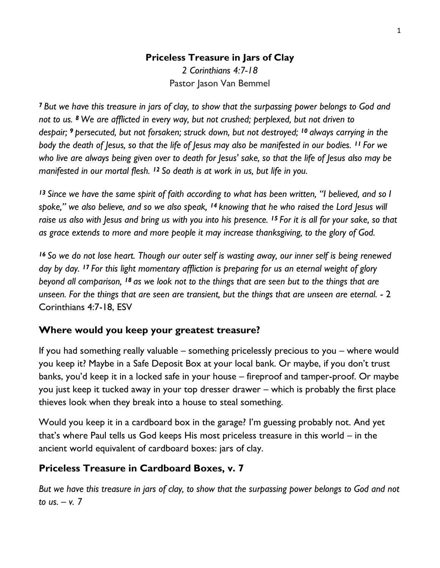# **Priceless Treasure in Jars of Clay** *2 Corinthians 4:7-18*

Pastor Jason Van Bemmel

*<sup>7</sup> But we have this treasure in jars of clay, to show that the surpassing power belongs to God and not to us. <sup>8</sup> We are afflicted in every way, but not crushed; perplexed, but not driven to despair; <sup>9</sup> persecuted, but not forsaken; struck down, but not destroyed; <sup>10</sup> always carrying in the body the death of Jesus, so that the life of Jesus may also be manifested in our bodies. <sup>11</sup> For we who live are always being given over to death for Jesus' sake, so that the life of Jesus also may be manifested in our mortal flesh. <sup>12</sup> So death is at work in us, but life in you.*

*<sup>13</sup> Since we have the same spirit of faith according to what has been written, "I believed, and so I spoke," we also believe, and so we also speak, <sup>14</sup> knowing that he who raised the Lord Jesus will raise us also with Jesus and bring us with you into his presence. <sup>15</sup> For it is all for your sake, so that as grace extends to more and more people it may increase thanksgiving, to the glory of God.*

*<sup>16</sup> So we do not lose heart. Though our outer self is wasting away, our inner self is being renewed day by day. <sup>17</sup> For this light momentary affliction is preparing for us an eternal weight of glory beyond all comparison, <sup>18</sup> as we look not to the things that are seen but to the things that are unseen. For the things that are seen are transient, but the things that are unseen are eternal.* - 2 Corinthians 4:7-18, ESV

# **Where would you keep your greatest treasure?**

If you had something really valuable – something pricelessly precious to you – where would you keep it? Maybe in a Safe Deposit Box at your local bank. Or maybe, if you don't trust banks, you'd keep it in a locked safe in your house – fireproof and tamper-proof. Or maybe you just keep it tucked away in your top dresser drawer – which is probably the first place thieves look when they break into a house to steal something.

Would you keep it in a cardboard box in the garage? I'm guessing probably not. And yet that's where Paul tells us God keeps His most priceless treasure in this world – in the ancient world equivalent of cardboard boxes: jars of clay.

# **Priceless Treasure in Cardboard Boxes, v. 7**

*But we have this treasure in jars of clay, to show that the surpassing power belongs to God and not to us. – v. 7*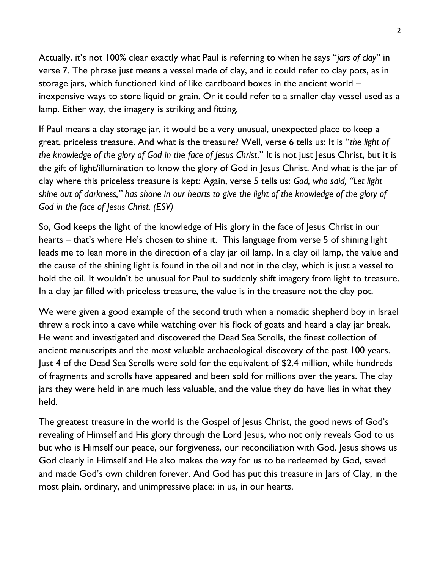Actually, it's not 100% clear exactly what Paul is referring to when he says "*jars of clay*" in verse 7. The phrase just means a vessel made of clay, and it could refer to clay pots, as in storage jars, which functioned kind of like cardboard boxes in the ancient world – inexpensive ways to store liquid or grain. Or it could refer to a smaller clay vessel used as a lamp. Either way, the imagery is striking and fitting,

If Paul means a clay storage jar, it would be a very unusual, unexpected place to keep a great, priceless treasure. And what is the treasure? Well, verse 6 tells us: It is "*the light of the knowledge of the glory of God in the face of Jesus Christ*." It is not just Jesus Christ, but it is the gift of light/illumination to know the glory of God in Jesus Christ. And what is the jar of clay where this priceless treasure is kept: Again, verse 5 tells us: *God, who said, "Let light shine out of darkness," has shone in our hearts to give the light of the knowledge of the glory of God in the face of Jesus Christ. (ESV)*

So, God keeps the light of the knowledge of His glory in the face of Jesus Christ in our hearts – that's where He's chosen to shine it. This language from verse 5 of shining light leads me to lean more in the direction of a clay jar oil lamp. In a clay oil lamp, the value and the cause of the shining light is found in the oil and not in the clay, which is just a vessel to hold the oil. It wouldn't be unusual for Paul to suddenly shift imagery from light to treasure. In a clay jar filled with priceless treasure, the value is in the treasure not the clay pot.

We were given a good example of the second truth when a nomadic shepherd boy in Israel threw a rock into a cave while watching over his flock of goats and heard a clay jar break. He went and investigated and discovered the Dead Sea Scrolls, the finest collection of ancient manuscripts and the most valuable archaeological discovery of the past 100 years. Just 4 of the Dead Sea Scrolls were sold for the equivalent of \$2.4 million, while hundreds of fragments and scrolls have appeared and been sold for millions over the years. The clay jars they were held in are much less valuable, and the value they do have lies in what they held.

The greatest treasure in the world is the Gospel of Jesus Christ, the good news of God's revealing of Himself and His glory through the Lord Jesus, who not only reveals God to us but who is Himself our peace, our forgiveness, our reconciliation with God. Jesus shows us God clearly in Himself and He also makes the way for us to be redeemed by God, saved and made God's own children forever. And God has put this treasure in Jars of Clay, in the most plain, ordinary, and unimpressive place: in us, in our hearts.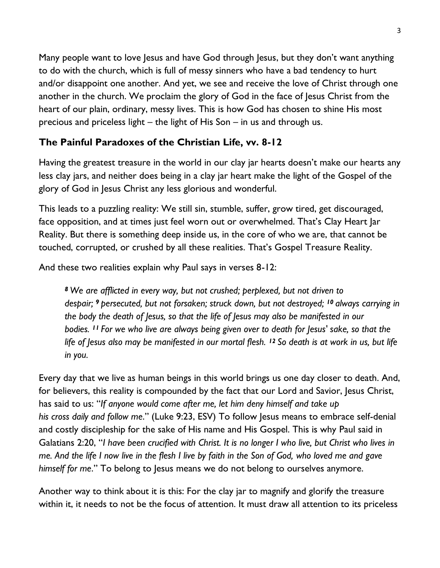Many people want to love Jesus and have God through Jesus, but they don't want anything to do with the church, which is full of messy sinners who have a bad tendency to hurt and/or disappoint one another. And yet, we see and receive the love of Christ through one another in the church. We proclaim the glory of God in the face of Jesus Christ from the heart of our plain, ordinary, messy lives. This is how God has chosen to shine His most precious and priceless light – the light of His Son – in us and through us.

# **The Painful Paradoxes of the Christian Life, vv. 8-12**

Having the greatest treasure in the world in our clay jar hearts doesn't make our hearts any less clay jars, and neither does being in a clay jar heart make the light of the Gospel of the glory of God in Jesus Christ any less glorious and wonderful.

This leads to a puzzling reality: We still sin, stumble, suffer, grow tired, get discouraged, face opposition, and at times just feel worn out or overwhelmed. That's Clay Heart Jar Reality. But there is something deep inside us, in the core of who we are, that cannot be touched, corrupted, or crushed by all these realities. That's Gospel Treasure Reality.

And these two realities explain why Paul says in verses 8-12:

*<sup>8</sup> We are afflicted in every way, but not crushed; perplexed, but not driven to despair; <sup>9</sup> persecuted, but not forsaken; struck down, but not destroyed; <sup>10</sup> always carrying in the body the death of Jesus, so that the life of Jesus may also be manifested in our bodies. <sup>11</sup> For we who live are always being given over to death for Jesus' sake, so that the life of Jesus also may be manifested in our mortal flesh. <sup>12</sup> So death is at work in us, but life in you.*

Every day that we live as human beings in this world brings us one day closer to death. And, for believers, this reality is compounded by the fact that our Lord and Savior, Jesus Christ, has said to us: "*If anyone would come after me, let him deny himself and take up his cross daily and follow me*." (Luke 9:23, ESV) To follow Jesus means to embrace self-denial and costly discipleship for the sake of His name and His Gospel. This is why Paul said in Galatians 2:20, "*I have been crucified with Christ. It is no longer I who live, but Christ who lives in me. And the life I now live in the flesh I live by faith in the Son of God, who loved me and gave himself for me*." To belong to Jesus means we do not belong to ourselves anymore.

Another way to think about it is this: For the clay jar to magnify and glorify the treasure within it, it needs to not be the focus of attention. It must draw all attention to its priceless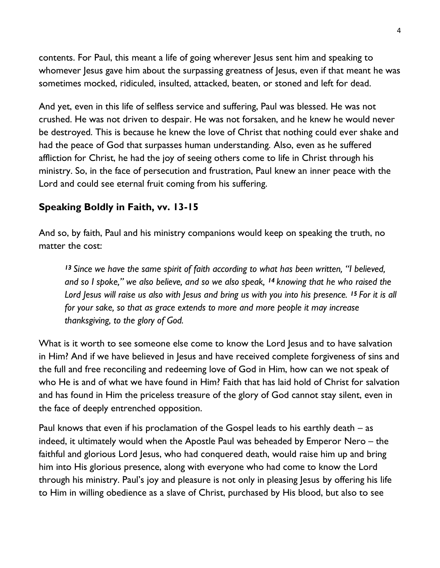contents. For Paul, this meant a life of going wherever Jesus sent him and speaking to whomever Jesus gave him about the surpassing greatness of Jesus, even if that meant he was sometimes mocked, ridiculed, insulted, attacked, beaten, or stoned and left for dead.

And yet, even in this life of selfless service and suffering, Paul was blessed. He was not crushed. He was not driven to despair. He was not forsaken, and he knew he would never be destroyed. This is because he knew the love of Christ that nothing could ever shake and had the peace of God that surpasses human understanding. Also, even as he suffered affliction for Christ, he had the joy of seeing others come to life in Christ through his ministry. So, in the face of persecution and frustration, Paul knew an inner peace with the Lord and could see eternal fruit coming from his suffering.

#### **Speaking Boldly in Faith, vv. 13-15**

And so, by faith, Paul and his ministry companions would keep on speaking the truth, no matter the cost:

*<sup>13</sup> Since we have the same spirit of faith according to what has been written, "I believed, and so I spoke," we also believe, and so we also speak, <sup>14</sup> knowing that he who raised the Lord Jesus will raise us also with Jesus and bring us with you into his presence. <sup>15</sup> For it is all for your sake, so that as grace extends to more and more people it may increase thanksgiving, to the glory of God.*

What is it worth to see someone else come to know the Lord Jesus and to have salvation in Him? And if we have believed in Jesus and have received complete forgiveness of sins and the full and free reconciling and redeeming love of God in Him, how can we not speak of who He is and of what we have found in Him? Faith that has laid hold of Christ for salvation and has found in Him the priceless treasure of the glory of God cannot stay silent, even in the face of deeply entrenched opposition.

Paul knows that even if his proclamation of the Gospel leads to his earthly death – as indeed, it ultimately would when the Apostle Paul was beheaded by Emperor Nero – the faithful and glorious Lord Jesus, who had conquered death, would raise him up and bring him into His glorious presence, along with everyone who had come to know the Lord through his ministry. Paul's joy and pleasure is not only in pleasing Jesus by offering his life to Him in willing obedience as a slave of Christ, purchased by His blood, but also to see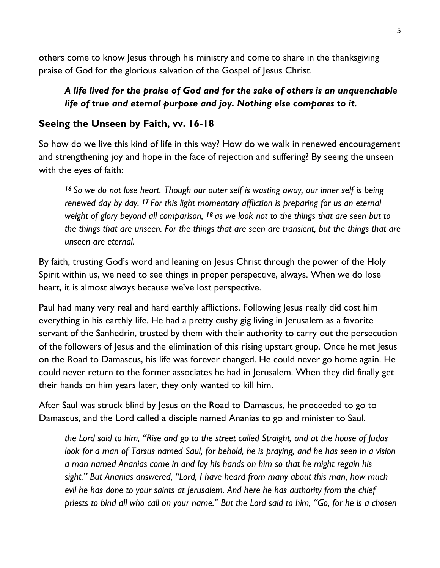others come to know Jesus through his ministry and come to share in the thanksgiving praise of God for the glorious salvation of the Gospel of Jesus Christ.

#### *A life lived for the praise of God and for the sake of others is an unquenchable life of true and eternal purpose and joy. Nothing else compares to it.*

#### **Seeing the Unseen by Faith, vv. 16-18**

So how do we live this kind of life in this way? How do we walk in renewed encouragement and strengthening joy and hope in the face of rejection and suffering? By seeing the unseen with the eyes of faith:

*<sup>16</sup> So we do not lose heart. Though our outer self is wasting away, our inner self is being renewed day by day. <sup>17</sup> For this light momentary affliction is preparing for us an eternal weight of glory beyond all comparison, <sup>18</sup> as we look not to the things that are seen but to the things that are unseen. For the things that are seen are transient, but the things that are unseen are eternal.*

By faith, trusting God's word and leaning on Jesus Christ through the power of the Holy Spirit within us, we need to see things in proper perspective, always. When we do lose heart, it is almost always because we've lost perspective.

Paul had many very real and hard earthly afflictions. Following Jesus really did cost him everything in his earthly life. He had a pretty cushy gig living in Jerusalem as a favorite servant of the Sanhedrin, trusted by them with their authority to carry out the persecution of the followers of Jesus and the elimination of this rising upstart group. Once he met Jesus on the Road to Damascus, his life was forever changed. He could never go home again. He could never return to the former associates he had in Jerusalem. When they did finally get their hands on him years later, they only wanted to kill him.

After Saul was struck blind by Jesus on the Road to Damascus, he proceeded to go to Damascus, and the Lord called a disciple named Ananias to go and minister to Saul.

*the Lord said to him, "Rise and go to the street called Straight, and at the house of Judas look for a man of Tarsus named Saul, for behold, he is praying, and he has seen in a vision a man named Ananias come in and lay his hands on him so that he might regain his sight." But Ananias answered, "Lord, I have heard from many about this man, how much evil he has done to your saints at Jerusalem. And here he has authority from the chief priests to bind all who call on your name." But the Lord said to him, "Go, for he is a chosen*